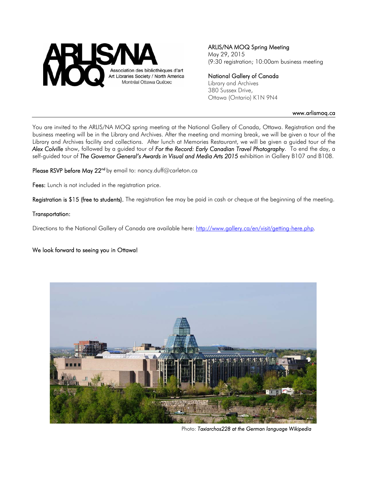

# ARLIS/NA MOQ Spring Meeting

May 29, 2015 (9:30 registration; 10:00am business meeting

#### National Gallery of Canada

Library and Archives 380 Sussex Drive, Ottawa (Ontario) K1N 9N4

#### www.arlismoq.ca

You are invited to the ARLIS/NA MOQ spring meeting at the National Gallery of Canada, Ottawa. Registration and the business meeting will be in the Library and Archives. After the meeting and morning break, we will be given a tour of the Library and Archives facility and collections.After lunch at Memories Restaurant, we will be given a guided tour of the *Alex Colville* show, followed by a guided tour of *For the Record: Early Canadian Travel Photography*. To end the day, a self-guided tour of *The Governor General's Awards in Visual and Media Arts 2015* exhibition in Gallery B107 and B108.

Please RSVP before May 22<sup>nd</sup> by email to: nancy.duff@carleton.ca

Fees: Lunch is not included in the registration price.

Registration is \$15 (free to students). The registration fee may be paid in cash or cheque at the beginning of the meeting.

#### Transportation:

Directions to the National Gallery of Canada are available here: http://www.gallery.ca/en/visit/getting-here.php.

#### We look forward to seeing you in Ottawa!



Photo: *Taxiarchos228 at the German language Wikipedia*